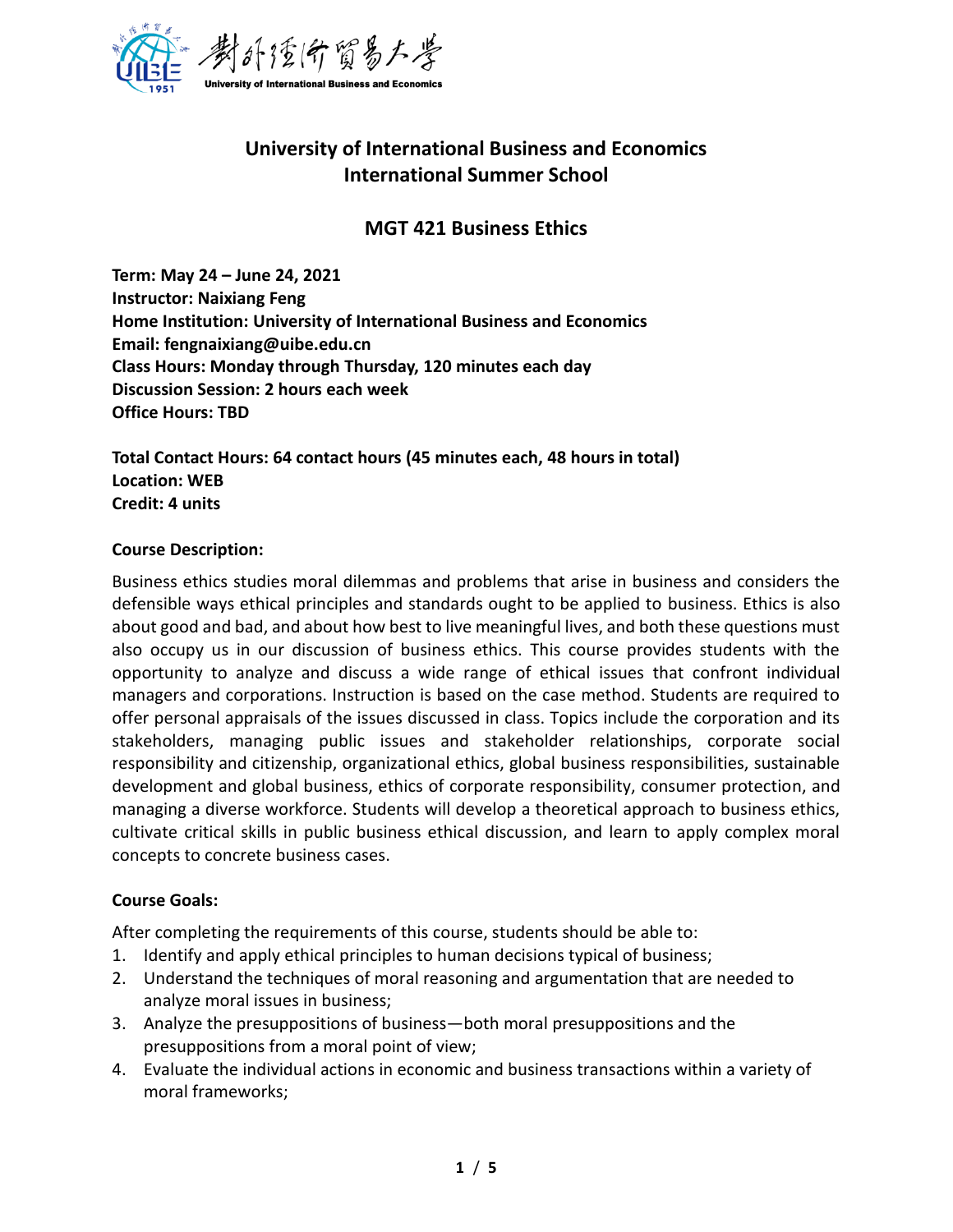

# **University of International Business and Economics International Summer School**

## **MGT 421 Business Ethics**

**Term: May 24 – June 24, 2021 Instructor: Naixiang Feng Home Institution: University of International Business and Economics Email: fengnaixiang@uibe.edu.cn Class Hours: Monday through Thursday, 120 minutes each day Discussion Session: 2 hours each week Office Hours: TBD**

**Total Contact Hours: 64 contact hours (45 minutes each, 48 hours in total) Location: WEB Credit: 4 units**

### **Course Description:**

Business ethics studies moral dilemmas and problems that arise in business and considers the defensible ways ethical principles and standards ought to be applied to business. Ethics is also about good and bad, and about how best to live meaningful lives, and both these questions must also occupy us in our discussion of business ethics. This course provides students with the opportunity to analyze and discuss a wide range of ethical issues that confront individual managers and corporations. Instruction is based on the case method. Students are required to offer personal appraisals of the issues discussed in class. Topics include the corporation and its stakeholders, managing public issues and stakeholder relationships, corporate social responsibility and citizenship, organizational ethics, global business responsibilities, sustainable development and global business, ethics of corporate responsibility, consumer protection, and managing a diverse workforce. Students will develop a theoretical approach to business ethics, cultivate critical skills in public business ethical discussion, and learn to apply complex moral concepts to concrete business cases.

### **Course Goals:**

After completing the requirements of this course, students should be able to:

- 1. Identify and apply ethical principles to human decisions typical of business;
- 2. Understand the techniques of moral reasoning and argumentation that are needed to analyze moral issues in business;
- 3. Analyze the presuppositions of business—both moral presuppositions and the presuppositions from a moral point of view;
- 4. Evaluate the individual actions in economic and business transactions within a variety of moral frameworks;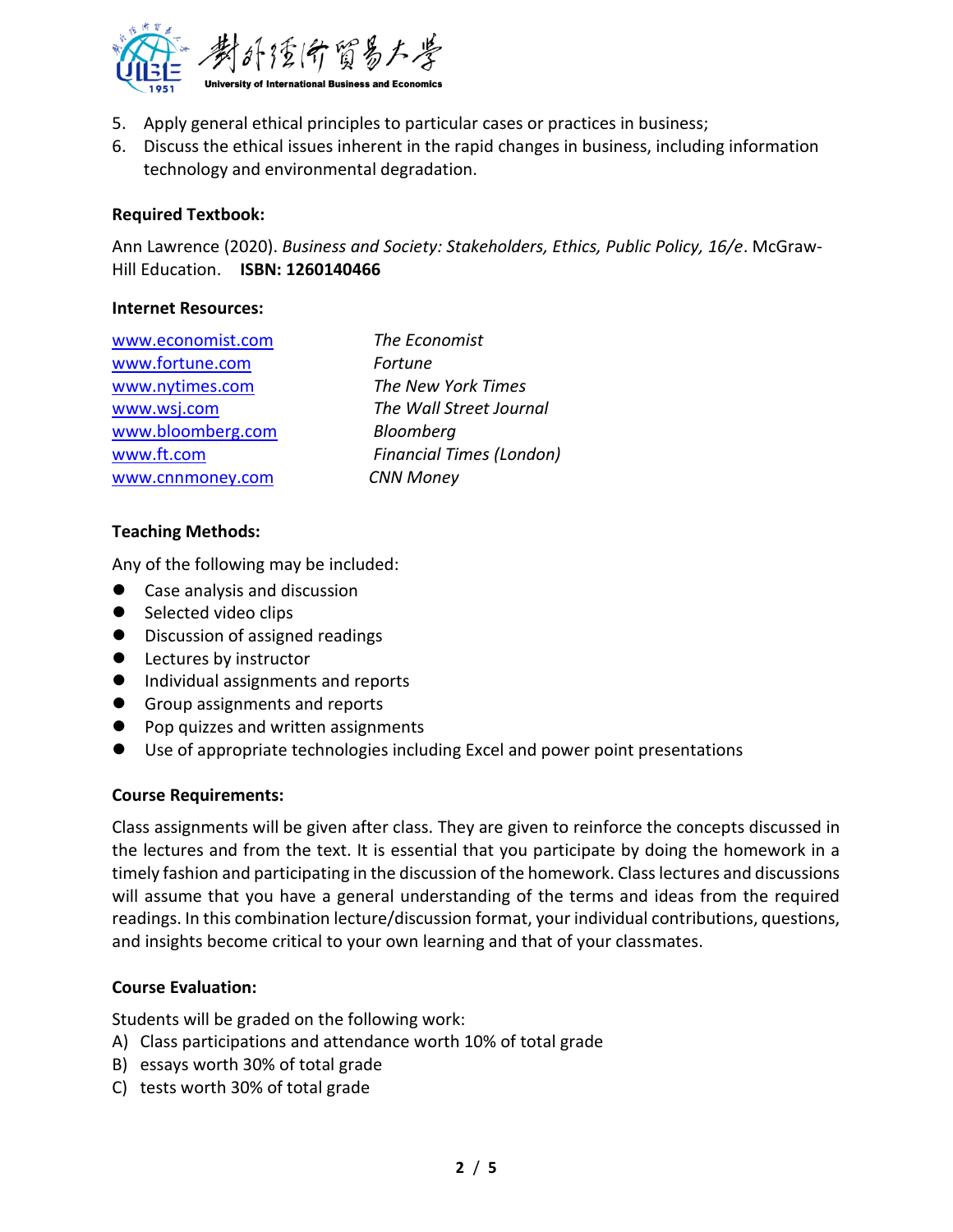

- 5. Apply general ethical principles to particular cases or practices in business;
- 6. Discuss the ethical issues inherent in the rapid changes in business, including information technology and environmental degradation.

### **Required Textbook:**

Ann Lawrence (2020). *Business and Society: Stakeholders, Ethics, Public Policy, 16/e*. McGraw-Hill Education. **ISBN: 1260140466** 

#### **Internet Resources:**

| www.economist.com |  |
|-------------------|--|
| www.fortune.com   |  |
| www.nytimes.com   |  |
| www.wsj.com       |  |
| www.bloomberg.com |  |
| www.ft.com        |  |
| www.cnnmoney.com  |  |

**The Economist Fortune The New York Times The Wall Street Journal** Bloomberg **Financial Times (London) CNN Money** 

### **Teaching Methods:**

Any of the following may be included:

- Case analysis and discussion
- Selected video clips
- Discussion of assigned readings
- Lectures by instructor
- Individual assignments and reports
- Group assignments and reports
- Pop quizzes and written assignments
- Use of appropriate technologies including Excel and power point presentations

#### **Course Requirements:**

Class assignments will be given after class. They are given to reinforce the concepts discussed in the lectures and from the text. It is essential that you participate by doing the homework in a timely fashion and participating in the discussion of the homework. Class lectures and discussions will assume that you have a general understanding of the terms and ideas from the required readings. In this combination lecture/discussion format, your individual contributions, questions, and insights become critical to your own learning and that of your classmates.

#### **Course Evaluation:**

Students will be graded on the following work:

- A) Class participations and attendance worth 10% of total grade
- B) essays worth 30% of total grade
- C) tests worth 30% of total grade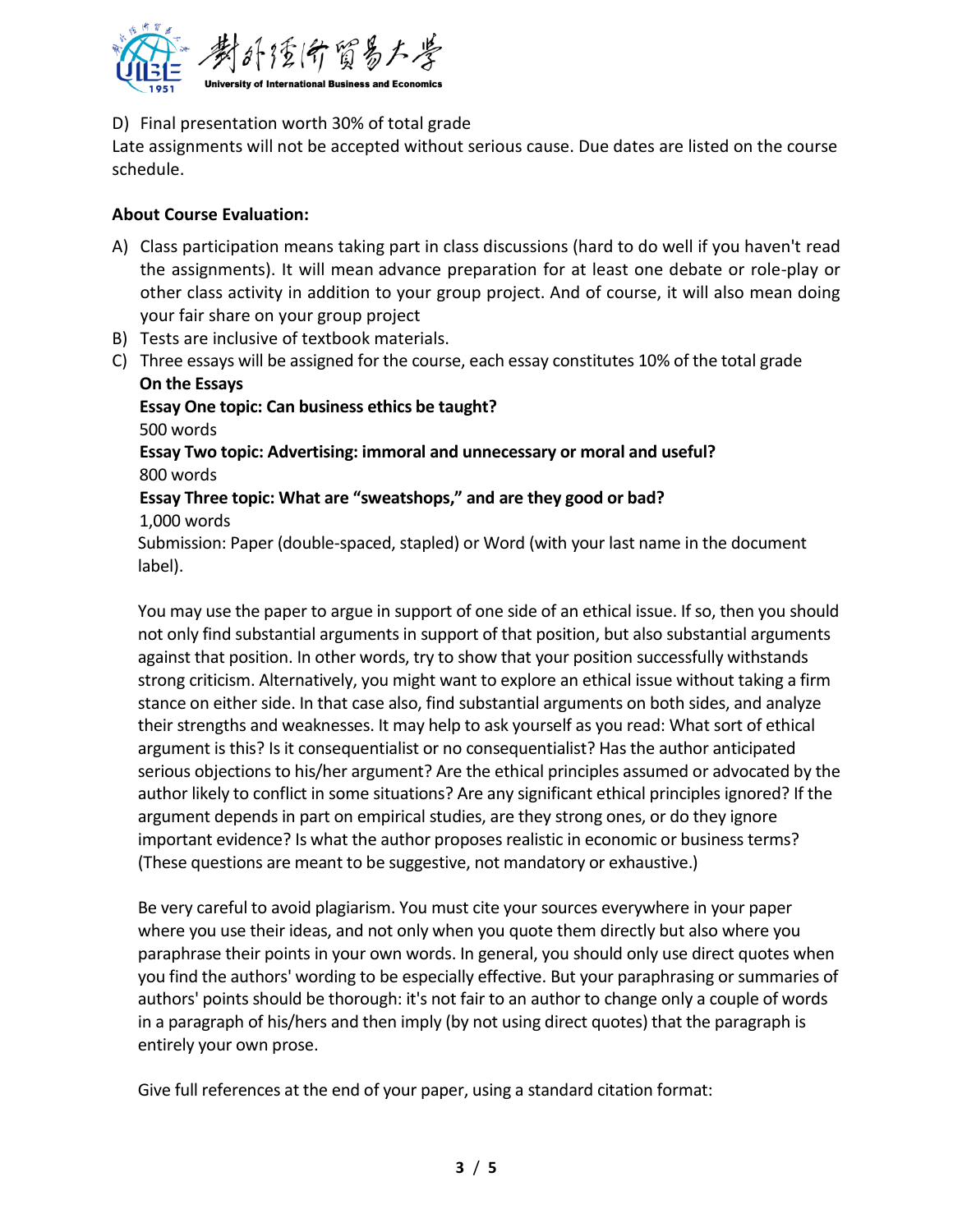

## D) Final presentation worth 30% of total grade

Late assignments will not be accepted without serious cause. Due dates are listed on the course schedule.

## **About Course Evaluation:**

- A) Class participation means taking part in class discussions (hard to do well if you haven't read the assignments). It will mean advance preparation for at least one debate or role-play or other class activity in addition to your group project. And of course, it will also mean doing your fair share on your group project
- B) Tests are inclusive of textbook materials.
- C) Three essays will be assigned for the course, each essay constitutes 10% of the total grade **On the Essays**

**Essay One topic: Can business ethics be taught?** 500 words

**Essay Two topic: Advertising: immoral and unnecessary or moral and useful?**  800 words

**Essay Three topic: What are "sweatshops," and are they good or bad?** 1,000 words

Submission: Paper (double-spaced, stapled) or Word (with your last name in the document label).

You may use the paper to argue in support of one side of an ethical issue. If so, then you should not only find substantial arguments in support of that position, but also substantial arguments against that position. In other words, try to show that your position successfully withstands strong criticism. Alternatively, you might want to explore an ethical issue without taking a firm stance on either side. In that case also, find substantial arguments on both sides, and analyze their strengths and weaknesses. It may help to ask yourself as you read: What sort of ethical argument is this? Is it consequentialist or no consequentialist? Has the author anticipated serious objections to his/her argument? Are the ethical principles assumed or advocated by the author likely to conflict in some situations? Are any significant ethical principles ignored? If the argument depends in part on empirical studies, are they strong ones, or do they ignore important evidence? Is what the author proposes realistic in economic or business terms? (These questions are meant to be suggestive, not mandatory or exhaustive.)

Be very careful to avoid plagiarism. You must cite your sources everywhere in your paper where you use their ideas, and not only when you quote them directly but also where you paraphrase their points in your own words. In general, you should only use direct quotes when you find the authors' wording to be especially effective. But your paraphrasing or summaries of authors' points should be thorough: it's not fair to an author to change only a couple of words in a paragraph of his/hers and then imply (by not using direct quotes) that the paragraph is entirely your own prose.

Give full references at the end of your paper, using a standard citation format: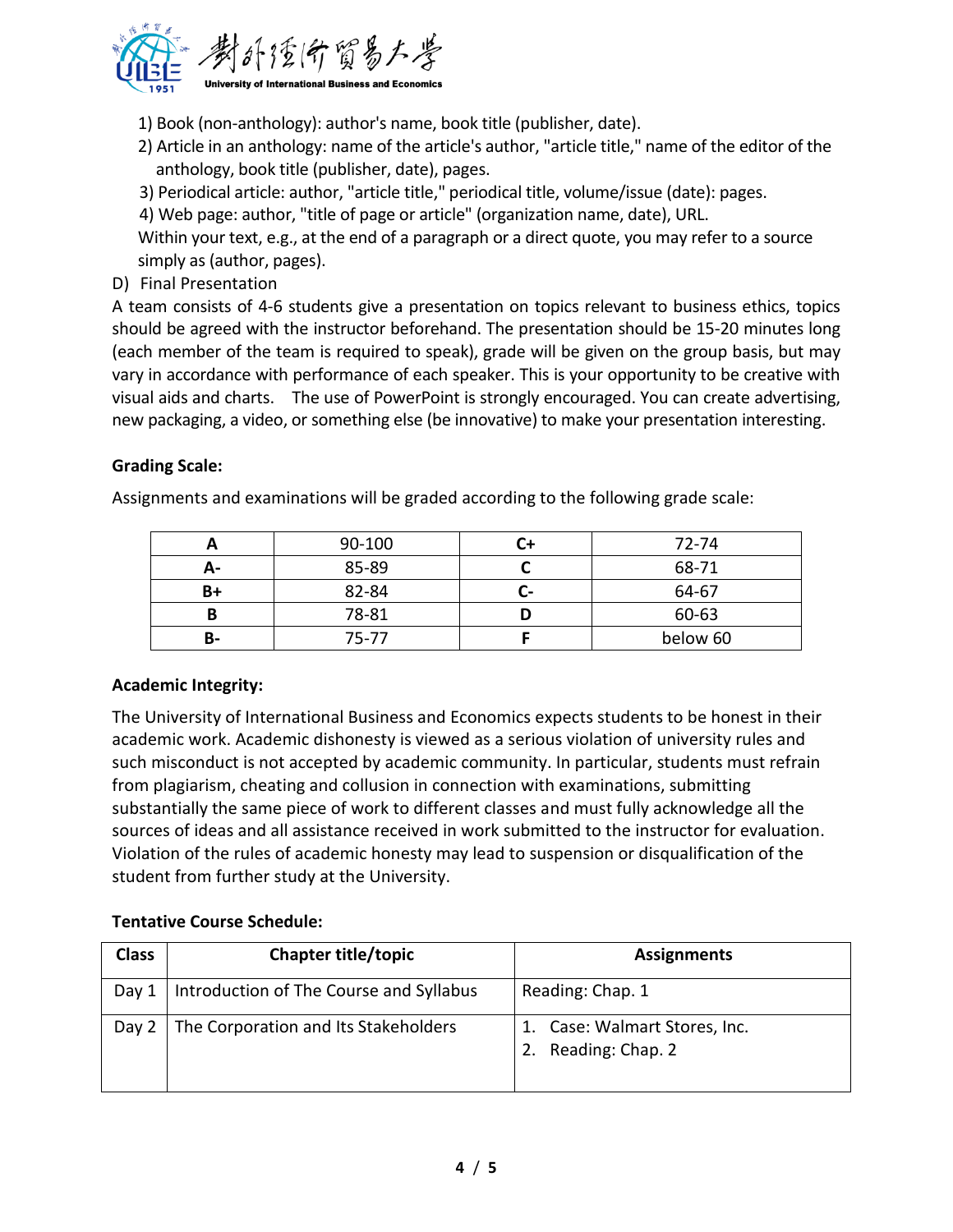

1) Book (non-anthology): author's name, book title (publisher, date).

- 2) Article in an anthology: name of the article's author, "article title," name of the editor of the anthology, book title (publisher, date), pages.
- 3) Periodical article: author, "article title," periodical title, volume/issue (date): pages.
- 4) Web page: author, "title of page or article" (organization name, date), URL.

Within your text, e.g., at the end of a paragraph or a direct quote, you may refer to a source simply as (author, pages).

D) Final Presentation

A team consists of 4-6 students give a presentation on topics relevant to business ethics, topics should be agreed with the instructor beforehand. The presentation should be 15-20 minutes long (each member of the team is required to speak), grade will be given on the group basis, but may vary in accordance with performance of each speaker. This is your opportunity to be creative with visual aids and charts. The use of PowerPoint is strongly encouraged. You can create advertising, new packaging, a video, or something else (be innovative) to make your presentation interesting.

## **Grading Scale:**

Assignments and examinations will be graded according to the following grade scale:

|    | 90-100 |                          | 72-74    |
|----|--------|--------------------------|----------|
| А- | 85-89  |                          | 68-71    |
| B+ | 82-84  | $\overline{\phantom{0}}$ | 64-67    |
|    | 78-81  |                          | 60-63    |
| В- | 75-77  |                          | below 60 |

## **Academic Integrity:**

The University of International Business and Economics expects students to be honest in their academic work. Academic dishonesty is viewed as a serious violation of university rules and such misconduct is not accepted by academic community. In particular, students must refrain from plagiarism, cheating and collusion in connection with examinations, submitting substantially the same piece of work to different classes and must fully acknowledge all the sources of ideas and all assistance received in work submitted to the instructor for evaluation. Violation of the rules of academic honesty may lead to suspension or disqualification of the student from further study at the University.

## **Tentative Course Schedule:**

| <b>Class</b> | <b>Chapter title/topic</b>              | <b>Assignments</b>                                |
|--------------|-----------------------------------------|---------------------------------------------------|
| Day 1        | Introduction of The Course and Syllabus | Reading: Chap. 1                                  |
| Day 2        | The Corporation and Its Stakeholders    | 1. Case: Walmart Stores, Inc.<br>Reading: Chap. 2 |